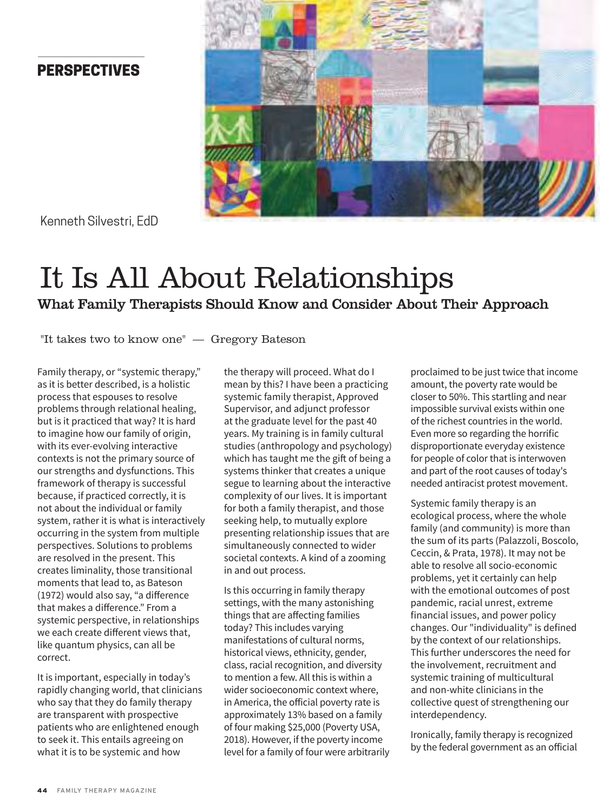## **PERSPECTIVES**



Kenneth Silvestri, EdD

# It Is All About Relationships What Family Therapists Should Know and Consider About Their Approach

"It takes two to know one" — Gregory Bateson

Family therapy, or "systemic therapy," as it is better described, is a holistic process that espouses to resolve problems through relational healing, but is it practiced that way? It is hard to imagine how our family of origin, with its ever-evolving interactive contexts is not the primary source of our strengths and dysfunctions. This framework of therapy is successful because, if practiced correctly, it is not about the individual or family system, rather it is what is interactively occurring in the system from multiple perspectives. Solutions to problems are resolved in the present. This creates liminality, those transitional moments that lead to, as Bateson (1972) would also say, "a difference that makes a difference." From a systemic perspective, in relationships we each create different views that, like quantum physics, can all be correct.

It is important, especially in today's rapidly changing world, that clinicians who say that they do family therapy are transparent with prospective patients who are enlightened enough to seek it. This entails agreeing on what it is to be systemic and how

the therapy will proceed. What do I mean by this? I have been a practicing systemic family therapist, Approved Supervisor, and adjunct professor at the graduate level for the past 40 years. My training is in family cultural studies (anthropology and psychology) which has taught me the gift of being a systems thinker that creates a unique segue to learning about the interactive complexity of our lives. It is important for both a family therapist, and those seeking help, to mutually explore presenting relationship issues that are simultaneously connected to wider societal contexts. A kind of a zooming in and out process.

Is this occurring in family therapy settings, with the many astonishing things that are affecting families today? This includes varying manifestations of cultural norms, historical views, ethnicity, gender, class, racial recognition, and diversity to mention a few. All this is within a wider socioeconomic context where, in America, the official poverty rate is approximately 13% based on a family of four making \$25,000 (Poverty USA, 2018). However, if the poverty income level for a family of four were arbitrarily proclaimed to be just twice that income amount, the poverty rate would be closer to 50%. This startling and near impossible survival exists within one of the richest countries in the world. Even more so regarding the horrific disproportionate everyday existence for people of color that is interwoven and part of the root causes of today's needed antiracist protest movement.

Systemic family therapy is an ecological process, where the whole family (and community) is more than the sum of its parts (Palazzoli, Boscolo, Ceccin, & Prata, 1978). It may not be able to resolve all socio-economic problems, yet it certainly can help with the emotional outcomes of post pandemic, racial unrest, extreme financial issues, and power policy changes. Our "individuality" is defined by the context of our relationships. This further underscores the need for the involvement, recruitment and systemic training of multicultural and non-white clinicians in the collective quest of strengthening our interdependency.

Ironically, family therapy is recognized by the federal government as an official